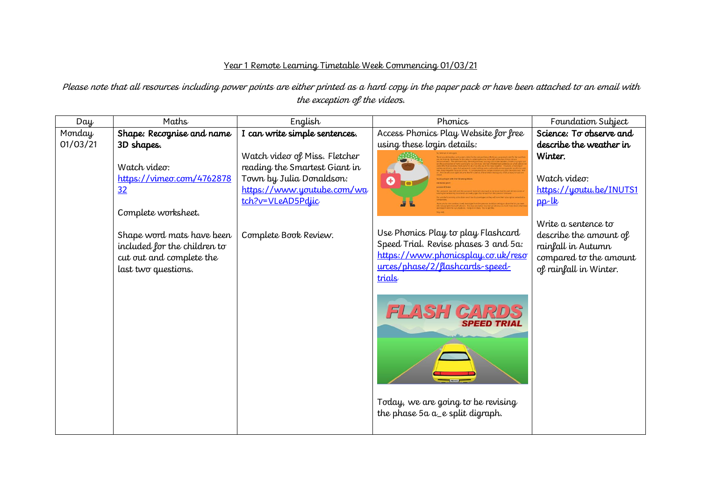## Year 1 Remote Learning Timetable Week Commencing 01/03/21

Please note that all resources including power points are either printed as a hard copy in the paper pack or have been attached to an email with the exception of the videos.

| Day      | Maths                        | English                       | Phonics                                                                    | Foundation Subject      |
|----------|------------------------------|-------------------------------|----------------------------------------------------------------------------|-------------------------|
| Monday   | Shape: Recognise and name    | I can write simple sentences. | Access Phonics Play Website for free                                       | Science: To observe and |
| 01/03/21 | 3D shapes.                   |                               | using these login details:                                                 | describe the weather in |
|          |                              | Watch video of Miss. Fletcher |                                                                            | Winter.                 |
|          | Watch video:                 | reading the Smartest Giant in |                                                                            |                         |
|          | https://vimeo.com/4762878    | Town by Julia Donaldson:      | $\bullet$                                                                  | Watch video:            |
|          | 32                           | https://www.youtube.com/wa    |                                                                            | https://youtu.be/INUTS1 |
|          |                              | tch?v=VLeAD5Pdjic             |                                                                            | $pp$ -lk                |
|          | Complete worksheet.          |                               |                                                                            |                         |
|          |                              |                               |                                                                            | Write a sentence to     |
|          | Shape word mats have been    | Complete Book Review.         | Use Phonics Play to play Flashcard<br>Speed Trial. Revise phases 3 and 5a: | describe the amount of  |
|          | included for the children to |                               | https://www.phonicsplay.co.uk/reso                                         | rainfall in Autumn      |
|          | cut out and complete the     |                               | urces/phase/2/flashcards-speed-                                            | compared to the amount  |
|          | last two questions.          |                               | trials                                                                     | of rainfall in Winter.  |
|          |                              |                               |                                                                            |                         |
|          |                              |                               |                                                                            |                         |
|          |                              |                               | <b>FLASH CARDS</b>                                                         |                         |
|          |                              |                               | <b>SPEED TRIAL</b>                                                         |                         |
|          |                              |                               |                                                                            |                         |
|          |                              |                               |                                                                            |                         |
|          |                              |                               |                                                                            |                         |
|          |                              |                               |                                                                            |                         |
|          |                              |                               |                                                                            |                         |
|          |                              |                               |                                                                            |                         |
|          |                              |                               | Today, we are going to be revising                                         |                         |
|          |                              |                               | the phase $5a a_e$ split digraph.                                          |                         |
|          |                              |                               |                                                                            |                         |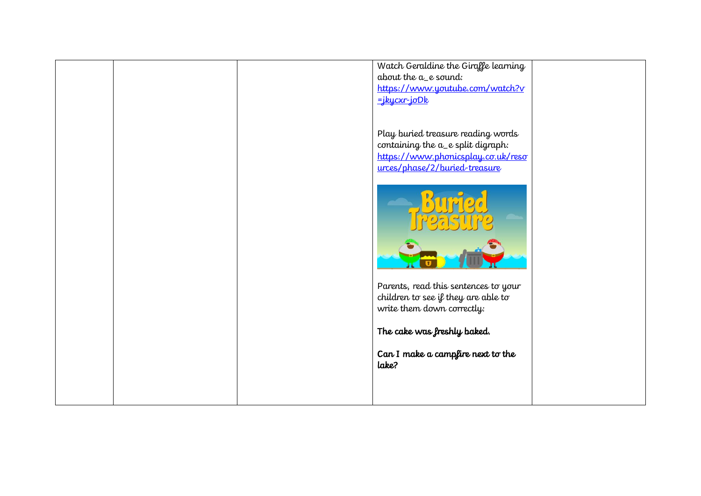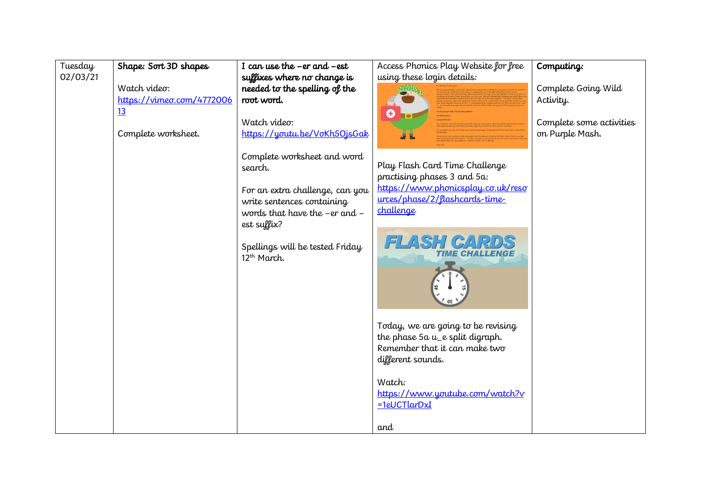| Tuesday<br>02/03/21 | Shape: Sort 3D shapes                           | I can use the $-er$ and $-est$<br>suffixes where no change is                                                                                                                                                  | Access Phonics Play Website for free<br>using these login details:                                                                                                                                                                                                                                          | Computing:                                  |
|---------------------|-------------------------------------------------|----------------------------------------------------------------------------------------------------------------------------------------------------------------------------------------------------------------|-------------------------------------------------------------------------------------------------------------------------------------------------------------------------------------------------------------------------------------------------------------------------------------------------------------|---------------------------------------------|
|                     | Watch video:<br>https://vimeo.com/4772006<br>13 | needed to the spelling of the<br>root word.                                                                                                                                                                    | O<br>$\blacksquare$                                                                                                                                                                                                                                                                                         | Complete Going Wild<br>Activity.            |
|                     | Complete worksheet.                             | Watch video:<br>https://youtu.be/VoKh5OjsGak                                                                                                                                                                   |                                                                                                                                                                                                                                                                                                             | Complete some activities<br>on Purple Mash. |
|                     |                                                 | Complete worksheet and word<br>search.<br>For an extra challenge, can you<br>write sentences containing<br>words that have the -er and -<br>est suffix?<br>Spellings will be tested Friday<br>$12^{th}$ March. | Play Flash Card Time Challenge<br>practising phases 3 and 5a:<br>https://www.phonicsplay.co.uk/reso<br>urces/phase/2/flashcards-time-<br>challenge<br>FLASH CARDS<br><i><b>TIME CHALLENGE</b></i><br>Today, we are going to be revising<br>the phase 5a u_e split digraph.<br>Remember that it can make two |                                             |
|                     |                                                 |                                                                                                                                                                                                                | different sounds.<br>Watch:<br>https://www.youtube.com/watch?v                                                                                                                                                                                                                                              |                                             |
|                     |                                                 |                                                                                                                                                                                                                | $=1$ eUCTlarDxI<br>and                                                                                                                                                                                                                                                                                      |                                             |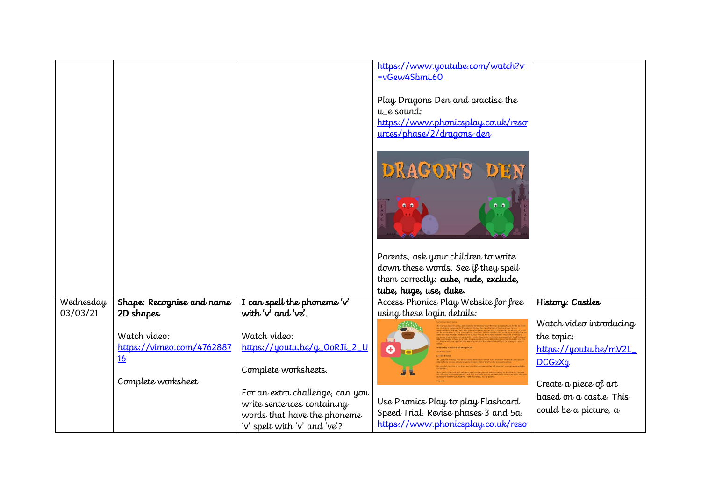|                       |                                        |                                                    | https://www.youtube.com/watch?v<br>=vGew4SbmL60                                                                    |                         |
|-----------------------|----------------------------------------|----------------------------------------------------|--------------------------------------------------------------------------------------------------------------------|-------------------------|
|                       |                                        |                                                    | Play Dragons Den and practise the<br>u_e sound:<br>https://www.phonicsplay.co.uk/reso<br>urces/phase/2/dragons-den |                         |
|                       |                                        |                                                    | DRAGON'S<br>DEN                                                                                                    |                         |
|                       |                                        |                                                    |                                                                                                                    |                         |
|                       |                                        |                                                    | Parents, ask your children to write                                                                                |                         |
|                       |                                        |                                                    | down these words. See if they spell                                                                                |                         |
|                       |                                        |                                                    | them correctly: cube, rude, exclude,                                                                               |                         |
|                       |                                        |                                                    | tube, huge, use, duke.                                                                                             |                         |
| Wednesday<br>03/03/21 | Shape: Recognise and name<br>2D shapes | I can spell the phoneme $v'$<br>with 'v' and 've'. | Access Phonics Play Website for free<br>using these login details:                                                 | History: Castles        |
|                       |                                        |                                                    |                                                                                                                    | Watch video introducing |
|                       | Watch video:                           | Watch video:                                       |                                                                                                                    | the topic:              |
|                       | https://vimeo.com/4762887              | https://youtu.be/g_0oRJi_2_U                       | 0                                                                                                                  | https://youtu.be/mV2L   |
|                       | 16                                     |                                                    |                                                                                                                    | <b>DCGzXg</b>           |
|                       |                                        | Complete worksheets.                               |                                                                                                                    |                         |
|                       | Complete worksheet                     |                                                    |                                                                                                                    | Create a piece of art   |
|                       |                                        | For an extra challenge, can you                    |                                                                                                                    | based on a castle. This |
|                       |                                        | write sentences containing                         | Use Phonics Play to play Flashcard<br>Speed Trial. Revise phases 3 and 5a:                                         | could be a picture, a   |
|                       |                                        | words that have the phoneme                        | https://www.phonicsplay.co.uk/reso                                                                                 |                         |
|                       |                                        | 'v' spelt with 'v' and 've'?                       |                                                                                                                    |                         |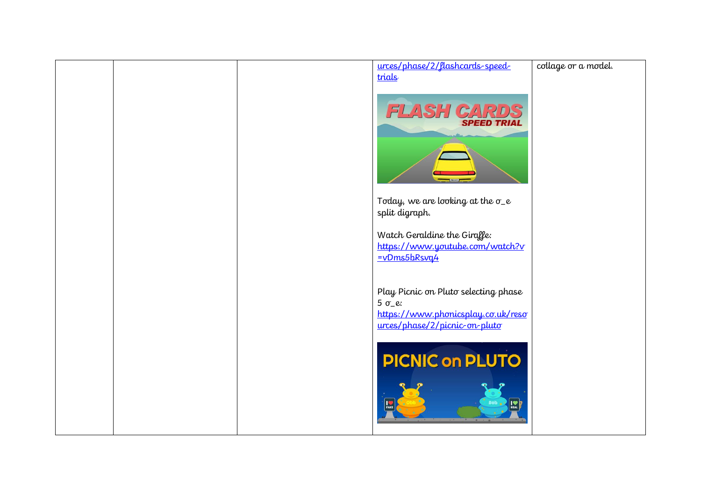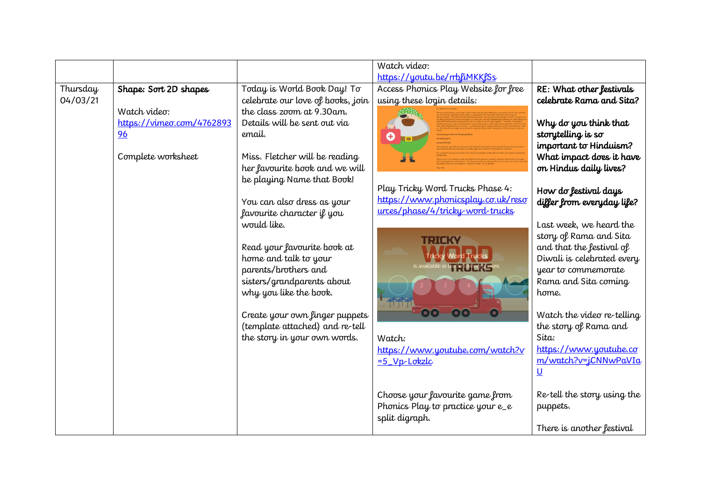|          |                           |                                   | Watch video:                         |                             |
|----------|---------------------------|-----------------------------------|--------------------------------------|-----------------------------|
|          |                           |                                   | https://youtu.be/rrbliMKKlSs         |                             |
| Thursday | Shape: Sort 2D shapes     | Today is World Book Day! To       | Access Phonics Play Website for free | RE: What other festivals    |
| 04/03/21 |                           | celebrate our love of books, join | using these login details:           | celebrate Rama and Sita?    |
|          | Watch video:              | the class zoom at 9.30 am.        |                                      |                             |
|          | https://vimeo.com/4762893 | Details will be sent out via      |                                      | Why do you think that       |
|          | 96                        | email.                            | 0                                    | storytelling is so          |
|          |                           |                                   |                                      | important to Hinduism?      |
|          | Complete worksheet        | Miss. Fletcher will be reading    |                                      | What impact does it have    |
|          |                           | her favourite book and we will    |                                      | on Hindus daily lives?      |
|          |                           | be playing Name that Book!        |                                      |                             |
|          |                           |                                   | Play Tricky Word Trucks Phase 4:     | How do festival days        |
|          |                           | You can also dress as your        | https://www.phonicsplay.co.uk/reso   | differ from everyday life?  |
|          |                           | favourite character if you        | urces/phase/4/tricky-word-trucks     |                             |
|          |                           | would like.                       |                                      | Last week, we heard the     |
|          |                           |                                   | II:IIK                               | story of Rama and Sita      |
|          |                           | Read your favourite book at       |                                      | and that the festival of    |
|          |                           | home and talk to your             |                                      | Diwali is celebrated every  |
|          |                           | parents/brothers and              |                                      | year to commemorate         |
|          |                           | sisters/grandparents about        |                                      | Rama and Sita coming        |
|          |                           | why you like the book.            |                                      | home.                       |
|          |                           |                                   |                                      |                             |
|          |                           | Create your own finger puppets    |                                      | Watch the video re-telling  |
|          |                           | (template attached) and re-tell   |                                      | the story of Rama and       |
|          |                           | the story in your own words.      | Watch:                               | Sita:                       |
|          |                           |                                   | https://www.youtube.com/watch?v      | https://www.youtube.co      |
|          |                           |                                   | $= 5$ Vp-Lokzlc                      | m/watch?v=jCNNwPaVIa        |
|          |                           |                                   |                                      | $\underline{\mathsf{U}}$    |
|          |                           |                                   |                                      |                             |
|          |                           |                                   | Choose your favourite game from      | Re-tell the story using the |
|          |                           |                                   | Phonics Play to practice your e_e    | puppets.                    |
|          |                           |                                   | split digraph.                       |                             |
|          |                           |                                   |                                      | There is another festival   |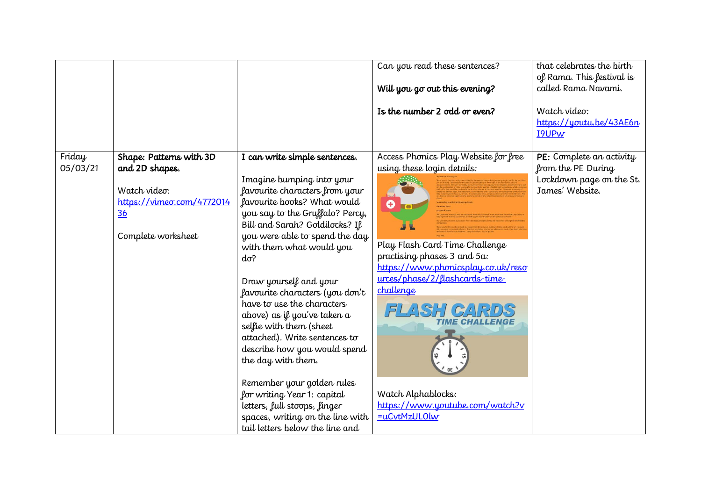|                    |                                                                                                                    |                                                                                                                                                                                                                                                                                                                                                                                                                                                                                                                                                                                                                                                                                               | Can you read these sentences?<br>Will you go out this evening?<br>Is the number 2 odd or even?                                                                                                                                                                                                                                               | that celebrates the birth<br>of Rama. This festival is<br>called Rama Navami.<br>Watch video:<br>https://youtu.be/43AE6n<br><b>I9UPw</b> |
|--------------------|--------------------------------------------------------------------------------------------------------------------|-----------------------------------------------------------------------------------------------------------------------------------------------------------------------------------------------------------------------------------------------------------------------------------------------------------------------------------------------------------------------------------------------------------------------------------------------------------------------------------------------------------------------------------------------------------------------------------------------------------------------------------------------------------------------------------------------|----------------------------------------------------------------------------------------------------------------------------------------------------------------------------------------------------------------------------------------------------------------------------------------------------------------------------------------------|------------------------------------------------------------------------------------------------------------------------------------------|
| Friday<br>05/03/21 | Shape: Patterns with 3D<br>and 2D shapes.<br>Watch video:<br>https://vimeo.com/4772014<br>36<br>Complete worksheet | I can write simple sentences.<br>Imagine bumping into your<br>favourite characters from your<br>favourite books? What would<br>you say to the Gruffalo? Percy,<br>Bill and Sarah? Goldilocks? If<br>you were able to spend the day<br>with them what would you<br>$d\sigma$ ?<br>Draw yourself and your<br>favourite characters (you don't<br>have to use the characters<br>above) as if you've taken a<br>selfie with them (sheet<br>attached). Write sentences to<br>describe how you would spend<br>the day with them.<br>Remember your golden rules<br>for writing Year 1: capital<br>letters, full stoops, finger<br>spaces, writing on the line with<br>tail letters below the line and | Access Phonics Play Website for free<br>using these login details:<br>Ő<br>Play Flash Card Time Challenge<br>practising phases 3 and 5a:<br>https://www.phonicsplay.co.uk/reso<br>urces/phase/2/flashcards-time-<br>challenge<br>FLASH CAR<br><b>TIME CHALLENGE</b><br>Watch Alphablocks:<br>https://www.youtube.com/watch?v<br>=uCvtMzUL0lw | PE: Complete an activity<br>from the PE During<br>Lockdown page on the St.<br>James' Website.                                            |